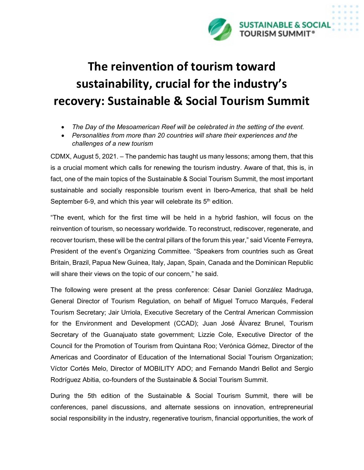

## **The reinvention of tourism toward sustainability, crucial for the industry's recovery: Sustainable & Social Tourism Summit**

- *The Day of the Mesoamerican Reef will be celebrated in the setting of the event.*
- *Personalities from more than 20 countries will share their experiences and the challenges of a new tourism*

CDMX, August 5, 2021. – The pandemic has taught us many lessons; among them, that this is a crucial moment which calls for renewing the tourism industry. Aware of that, this is, in fact, one of the main topics of the Sustainable & Social Tourism Summit, the most important sustainable and socially responsible tourism event in Ibero-America, that shall be held September 6-9, and which this year will celebrate its  $5<sup>th</sup>$  edition.

"The event, which for the first time will be held in a hybrid fashion, will focus on the reinvention of tourism, so necessary worldwide. To reconstruct, rediscover, regenerate, and recover tourism, these will be the central pillars of the forum this year," said Vicente Ferreyra, President of the event's Organizing Committee. "Speakers from countries such as Great Britain, Brazil, Papua New Guinea, Italy, Japan, Spain, Canada and the Dominican Republic will share their views on the topic of our concern," he said.

The following were present at the press conference: César Daniel González Madruga, General Director of Tourism Regulation, on behalf of Miguel Torruco Marqués, Federal Tourism Secretary; Jair Urriola, Executive Secretary of the Central American Commission for the Environment and Development (CCAD); Juan José Álvarez Brunel, Tourism Secretary of the Guanajuato state government; Lizzie Cole, Executive Director of the Council for the Promotion of Tourism from Quintana Roo; Verónica Gómez, Director of the Americas and Coordinator of Education of the International Social Tourism Organization; Víctor Cortés Melo, Director of MOBILITY ADO; and Fernando Mandri Bellot and Sergio Rodríguez Abitia, co-founders of the Sustainable & Social Tourism Summit.

During the 5th edition of the Sustainable & Social Tourism Summit, there will be conferences, panel discussions, and alternate sessions on innovation, entrepreneurial social responsibility in the industry, regenerative tourism, financial opportunities, the work of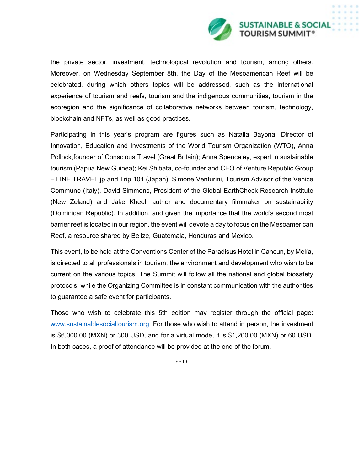

the private sector, investment, technological revolution and tourism, among others. Moreover, on Wednesday September 8th, the Day of the Mesoamerican Reef will be celebrated, during which others topics will be addressed, such as the international experience of tourism and reefs, tourism and the indigenous communities, tourism in the ecoregion and the significance of collaborative networks between tourism, technology, blockchain and NFTs, as well as good practices.

Participating in this year's program are figures such as Natalia Bayona, Director of Innovation, Education and Investments of the World Tourism Organization (WTO), Anna Pollock,founder of Conscious Travel (Great Britain); Anna Spenceley, expert in sustainable tourism (Papua New Guinea); Kei Shibata, co-founder and CEO of Venture Republic Group – LINE TRAVEL jp and Trip 101 (Japan), Simone Venturini, Tourism Advisor of the Venice Commune (Italy), David Simmons, President of the Global EarthCheck Research Institute (New Zeland) and Jake Kheel, author and documentary filmmaker on sustainability (Dominican Republic). In addition, and given the importance that the world's second most barrier reef is located in our region, the event will devote a day to focus on the Mesoamerican Reef, a resource shared by Belize, Guatemala, Honduras and Mexico.

This event, to be held at the Conventions Center of the Paradisus Hotel in Cancun, by Melía, is directed to all professionals in tourism, the environment and development who wish to be current on the various topics. The Summit will follow all the national and global biosafety protocols, while the Organizing Committee is in constant communication with the authorities to guarantee a safe event for participants.

Those who wish to celebrate this 5th edition may register through the official page: [www.sustainablesocialtourism.org.](http://www.sustainablesocialtourism.org/) For those who wish to attend in person, the investment is \$6,000.00 (MXN) or 300 USD, and for a virtual mode, it is \$1,200.00 (MXN) or 60 USD. In both cases, a proof of attendance will be provided at the end of the forum.

\*\*\*\*